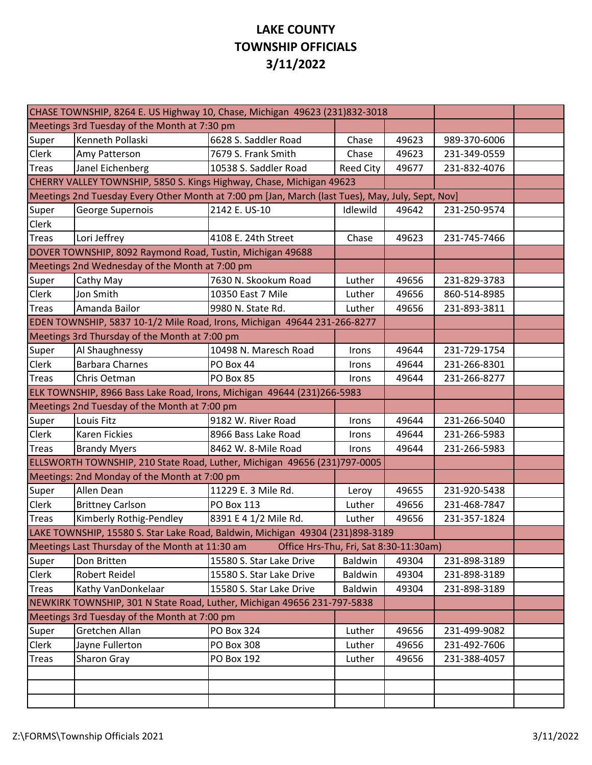## **LAKE COUNTY TOWNSHIP OFFICIALS 3/11/2022**

| CHASE TOWNSHIP, 8264 E. US Highway 10, Chase, Michigan 49623 (231)832-3018                       |                                                                               |                                        |                  |       |              |  |  |
|--------------------------------------------------------------------------------------------------|-------------------------------------------------------------------------------|----------------------------------------|------------------|-------|--------------|--|--|
|                                                                                                  | Meetings 3rd Tuesday of the Month at 7:30 pm                                  |                                        |                  |       |              |  |  |
| Super                                                                                            | Kenneth Pollaski                                                              | 6628 S. Saddler Road                   | Chase            | 49623 | 989-370-6006 |  |  |
| Clerk                                                                                            | Amy Patterson                                                                 | 7679 S. Frank Smith                    | Chase            | 49623 | 231-349-0559 |  |  |
| <b>Treas</b>                                                                                     | Janel Eichenberg                                                              | 10538 S. Saddler Road                  | <b>Reed City</b> | 49677 | 231-832-4076 |  |  |
| CHERRY VALLEY TOWNSHIP, 5850 S. Kings Highway, Chase, Michigan 49623                             |                                                                               |                                        |                  |       |              |  |  |
| Meetings 2nd Tuesday Every Other Month at 7:00 pm [Jan, March (last Tues), May, July, Sept, Nov] |                                                                               |                                        |                  |       |              |  |  |
| Super                                                                                            | George Supernois                                                              | 2142 E. US-10                          | Idlewild         | 49642 | 231-250-9574 |  |  |
| Clerk                                                                                            |                                                                               |                                        |                  |       |              |  |  |
| <b>Treas</b>                                                                                     | Lori Jeffrey                                                                  | 4108 E. 24th Street                    | Chase            | 49623 | 231-745-7466 |  |  |
| DOVER TOWNSHIP, 8092 Raymond Road, Tustin, Michigan 49688                                        |                                                                               |                                        |                  |       |              |  |  |
|                                                                                                  | Meetings 2nd Wednesday of the Month at 7:00 pm                                |                                        |                  |       |              |  |  |
| Super                                                                                            | Cathy May                                                                     | 7630 N. Skookum Road                   | Luther           | 49656 | 231-829-3783 |  |  |
| Clerk                                                                                            | Jon Smith                                                                     | 10350 East 7 Mile                      | Luther           | 49656 | 860-514-8985 |  |  |
| <b>Treas</b>                                                                                     | Amanda Bailor                                                                 | 9980 N. State Rd.                      | Luther           | 49656 | 231-893-3811 |  |  |
| EDEN TOWNSHIP, 5837 10-1/2 Mile Road, Irons, Michigan 49644 231-266-8277                         |                                                                               |                                        |                  |       |              |  |  |
|                                                                                                  | Meetings 3rd Thursday of the Month at 7:00 pm                                 |                                        |                  |       |              |  |  |
| Super                                                                                            | Al Shaughnessy                                                                | 10498 N. Maresch Road                  | Irons            | 49644 | 231-729-1754 |  |  |
| Clerk                                                                                            | <b>Barbara Charnes</b>                                                        | PO Box 44                              | Irons            | 49644 | 231-266-8301 |  |  |
| <b>Treas</b>                                                                                     | Chris Oetman                                                                  | PO Box 85                              | Irons            | 49644 | 231-266-8277 |  |  |
|                                                                                                  | ELK TOWNSHIP, 8966 Bass Lake Road, Irons, Michigan 49644 (231)266-5983        |                                        |                  |       |              |  |  |
|                                                                                                  | Meetings 2nd Tuesday of the Month at 7:00 pm                                  |                                        |                  |       |              |  |  |
| Super                                                                                            | Louis Fitz                                                                    | 9182 W. River Road                     | Irons            | 49644 | 231-266-5040 |  |  |
| Clerk                                                                                            | Karen Fickies                                                                 | 8966 Bass Lake Road                    | Irons            | 49644 | 231-266-5983 |  |  |
| <b>Treas</b>                                                                                     | <b>Brandy Myers</b>                                                           | 8462 W. 8-Mile Road                    | Irons            | 49644 | 231-266-5983 |  |  |
|                                                                                                  | ELLSWORTH TOWNSHIP, 210 State Road, Luther, Michigan 49656 (231)797-0005      |                                        |                  |       |              |  |  |
|                                                                                                  | Meetings: 2nd Monday of the Month at 7:00 pm                                  |                                        |                  |       |              |  |  |
| Super                                                                                            | Allen Dean                                                                    | 11229 E. 3 Mile Rd.                    | Leroy            | 49655 | 231-920-5438 |  |  |
| Clerk                                                                                            | <b>Brittney Carlson</b>                                                       | PO Box 113                             | Luther           | 49656 | 231-468-7847 |  |  |
| <b>Treas</b>                                                                                     | Kimberly Rothig-Pendley                                                       | 8391 E 4 1/2 Mile Rd.                  | Luther           | 49656 | 231-357-1824 |  |  |
|                                                                                                  | LAKE TOWNSHIP, 15580 S. Star Lake Road, Baldwin, Michigan 49304 (231)898-3189 |                                        |                  |       |              |  |  |
|                                                                                                  | Meetings Last Thursday of the Month at 11:30 am                               | Office Hrs-Thu, Fri, Sat 8:30-11:30am) |                  |       |              |  |  |
| Super                                                                                            | Don Britten                                                                   | 15580 S. Star Lake Drive               | Baldwin          | 49304 | 231-898-3189 |  |  |
| Clerk                                                                                            | <b>Robert Reidel</b>                                                          | 15580 S. Star Lake Drive               | Baldwin          | 49304 | 231-898-3189 |  |  |
| <b>Treas</b>                                                                                     | Kathy VanDonkelaar                                                            | 15580 S. Star Lake Drive               | Baldwin          | 49304 | 231-898-3189 |  |  |
|                                                                                                  | NEWKIRK TOWNSHIP, 301 N State Road, Luther, Michigan 49656 231-797-5838       |                                        |                  |       |              |  |  |
|                                                                                                  | Meetings 3rd Tuesday of the Month at 7:00 pm                                  |                                        |                  |       |              |  |  |
| Super                                                                                            | Gretchen Allan                                                                | <b>PO Box 324</b>                      | Luther           | 49656 | 231-499-9082 |  |  |
| Clerk                                                                                            | Jayne Fullerton                                                               | PO Box 308                             | Luther           | 49656 | 231-492-7606 |  |  |
| <b>Treas</b>                                                                                     | Sharon Gray                                                                   | PO Box 192                             | Luther           | 49656 | 231-388-4057 |  |  |
|                                                                                                  |                                                                               |                                        |                  |       |              |  |  |
|                                                                                                  |                                                                               |                                        |                  |       |              |  |  |
|                                                                                                  |                                                                               |                                        |                  |       |              |  |  |